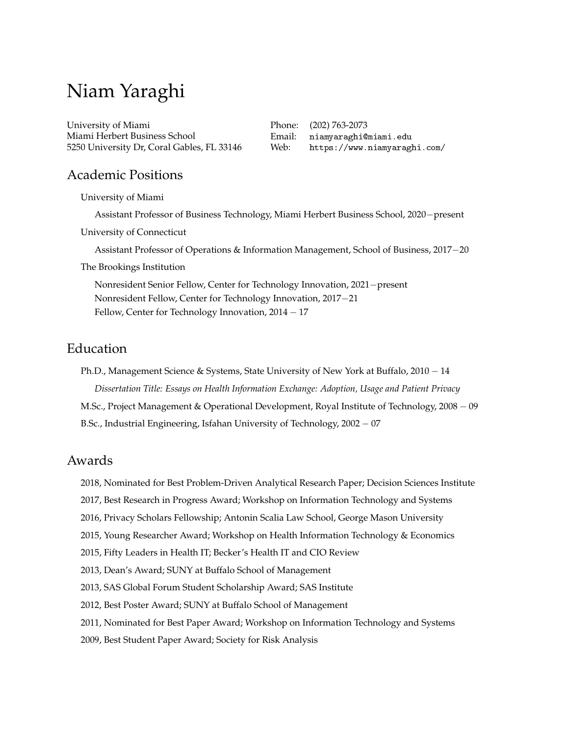# Niam Yaraghi

University of Miami Miami Herbert Business School 5250 University Dr, Coral Gables, FL 33146 Phone: (202) 763-2073 Email: [niamyaraghi@miami.edu](mailto:niamyaraghi@miami.edu) Web: <https://www.niamyaraghi.com/>

# Academic Positions

University of Miami

Assistant Professor of Business Technology, Miami Herbert Business School, 2020−present University of Connecticut Assistant Professor of Operations & Information Management, School of Business, 2017−20 The Brookings Institution Nonresident Senior Fellow, Center for Technology Innovation, 2021−present Nonresident Fellow, Center for Technology Innovation, 2017−21 Fellow, Center for Technology Innovation, 2014 − 17

# Education

Ph.D., Management Science & Systems, State University of New York at Buffalo, 2010 – 14 *Dissertation Title: Essays on Health Information Exchange: Adoption, Usage and Patient Privacy* M.Sc., Project Management & Operational Development, Royal Institute of Technology, 2008 − 09 B.Sc., Industrial Engineering, Isfahan University of Technology, 2002 − 07

# Awards

- 2018, Nominated for Best Problem-Driven Analytical Research Paper; Decision Sciences Institute
- 2017, Best Research in Progress Award; Workshop on Information Technology and Systems
- 2016, Privacy Scholars Fellowship; Antonin Scalia Law School, George Mason University
- 2015, Young Researcher Award; Workshop on Health Information Technology & Economics
- 2015, Fifty Leaders in Health IT; Becker's Health IT and CIO Review
- 2013, Dean's Award; SUNY at Buffalo School of Management
- 2013, SAS Global Forum Student Scholarship Award; SAS Institute
- 2012, Best Poster Award; SUNY at Buffalo School of Management
- 2011, Nominated for Best Paper Award; Workshop on Information Technology and Systems
- 2009, Best Student Paper Award; Society for Risk Analysis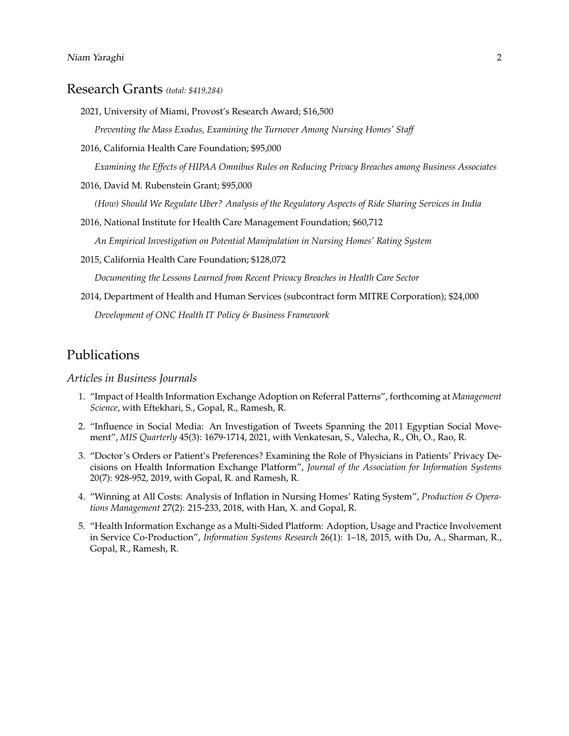# Research Grants *(total: \$419,284)*

2021, University of Miami, Provost's Research Award; \$16,500

*Preventing the Mass Exodus, Examining the Turnover Among Nursing Homes' Staff*

2016, California Health Care Foundation; \$95,000

*Examining the Effects of HIPAA Omnibus Rules on Reducing Privacy Breaches among Business Associates*

2016, David M. Rubenstein Grant; \$95,000

*(How) Should We Regulate Uber? Analysis of the Regulatory Aspects of Ride Sharing Services in India*

2016, National Institute for Health Care Management Foundation; \$60,712

*An Empirical Investigation on Potential Manipulation in Nursing Homes' Rating System*

2015, California Health Care Foundation; \$128,072

*Documenting the Lessons Learned from Recent Privacy Breaches in Health Care Sector*

2014, Department of Health and Human Services (subcontract form MITRE Corporation); \$24,000

*Development of ONC Health IT Policy & Business Framework*

# Publications

## *Articles in Business Journals*

- 1. "Impact of Health Information Exchange Adoption on Referral Patterns", forthcoming at *Management Science*, with Eftekhari, S., Gopal, R., Ramesh, R.
- 2. "Influence in Social Media: An Investigation of Tweets Spanning the 2011 Egyptian Social Movement", *MIS Quarterly* 45(3): 1679-1714, 2021, with Venkatesan, S., Valecha, R., Oh, O., Rao, R.
- 3. "Doctor's Orders or Patient's Preferences? Examining the Role of Physicians in Patients' Privacy Decisions on Health Information Exchange Platform", *Journal of the Association for Information Systems* 20(7): 928-952, 2019, with Gopal, R. and Ramesh, R.
- 4. "Winning at All Costs: Analysis of Inflation in Nursing Homes' Rating System", *Production & Operations Management* 27(2): 215-233, 2018, with Han, X. and Gopal, R.
- 5. "Health Information Exchange as a Multi-Sided Platform: Adoption, Usage and Practice Involvement in Service Co-Production", *Information Systems Research* 26(1): 1–18, 2015, with Du, A., Sharman, R., Gopal, R., Ramesh, R.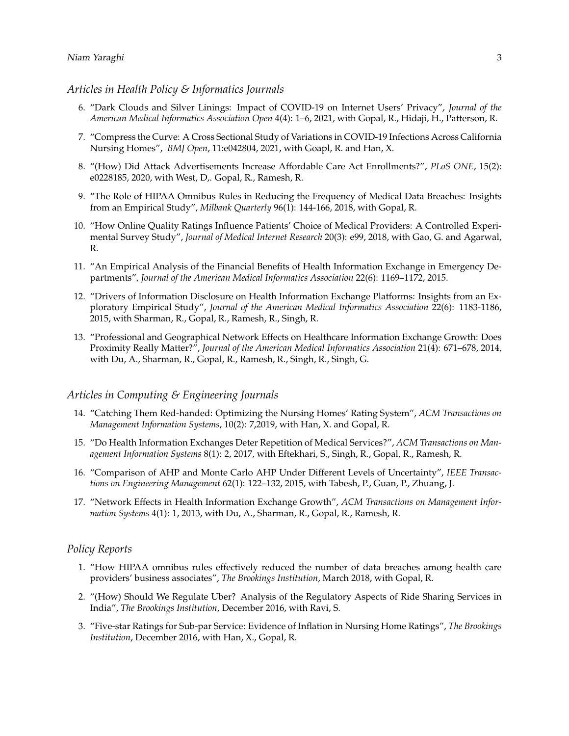## *Articles in Health Policy & Informatics Journals*

- 6. "Dark Clouds and Silver Linings: Impact of COVID-19 on Internet Users' Privacy", *Journal of the American Medical Informatics Association Open* 4(4): 1–6, 2021, with Gopal, R., Hidaji, H., Patterson, R.
- 7. "Compress the Curve: A Cross Sectional Study of Variations in COVID-19 Infections Across California Nursing Homes", *BMJ Open*, 11:e042804, 2021, with Goapl, R. and Han, X.
- 8. "(How) Did Attack Advertisements Increase Affordable Care Act Enrollments?", *PLoS ONE*, 15(2): e0228185, 2020, with West, D,. Gopal, R., Ramesh, R.
- 9. "The Role of HIPAA Omnibus Rules in Reducing the Frequency of Medical Data Breaches: Insights from an Empirical Study", *Milbank Quarterly* 96(1): 144-166, 2018, with Gopal, R.
- 10. "How Online Quality Ratings Influence Patients' Choice of Medical Providers: A Controlled Experimental Survey Study", *Journal of Medical Internet Research* 20(3): e99, 2018, with Gao, G. and Agarwal, R.
- 11. "An Empirical Analysis of the Financial Benefits of Health Information Exchange in Emergency Departments", *Journal of the American Medical Informatics Association* 22(6): 1169–1172, 2015.
- 12. "Drivers of Information Disclosure on Health Information Exchange Platforms: Insights from an Exploratory Empirical Study", *Journal of the American Medical Informatics Association* 22(6): 1183-1186, 2015, with Sharman, R., Gopal, R., Ramesh, R., Singh, R.
- 13. "Professional and Geographical Network Effects on Healthcare Information Exchange Growth: Does Proximity Really Matter?", *Journal of the American Medical Informatics Association* 21(4): 671–678, 2014, with Du, A., Sharman, R., Gopal, R., Ramesh, R., Singh, R., Singh, G.

## *Articles in Computing & Engineering Journals*

- 14. "Catching Them Red-handed: Optimizing the Nursing Homes' Rating System", *ACM Transactions on Management Information Systems*, 10(2): 7,2019, with Han, X. and Gopal, R.
- 15. "Do Health Information Exchanges Deter Repetition of Medical Services?", *ACM Transactions on Management Information Systems* 8(1): 2, 2017, with Eftekhari, S., Singh, R., Gopal, R., Ramesh, R.
- 16. "Comparison of AHP and Monte Carlo AHP Under Different Levels of Uncertainty", *IEEE Transactions on Engineering Management* 62(1): 122–132, 2015, with Tabesh, P., Guan, P., Zhuang, J.
- 17. "Network Effects in Health Information Exchange Growth", *ACM Transactions on Management Information Systems* 4(1): 1, 2013, with Du, A., Sharman, R., Gopal, R., Ramesh, R.

#### *Policy Reports*

- 1. "How HIPAA omnibus rules effectively reduced the number of data breaches among health care providers' business associates", *The Brookings Institution*, March 2018, with Gopal, R.
- 2. "(How) Should We Regulate Uber? Analysis of the Regulatory Aspects of Ride Sharing Services in India", *The Brookings Institution*, December 2016, with Ravi, S.
- 3. "Five-star Ratings for Sub-par Service: Evidence of Inflation in Nursing Home Ratings", *The Brookings Institution*, December 2016, with Han, X., Gopal, R.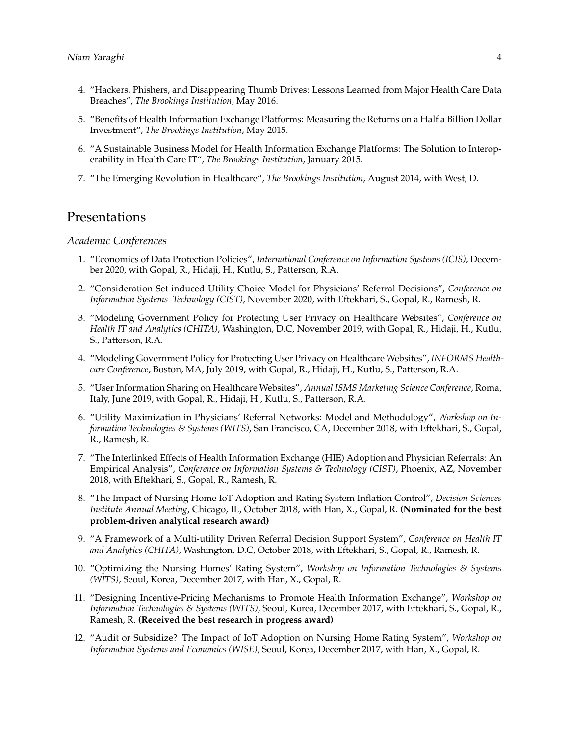- 4. "Hackers, Phishers, and Disappearing Thumb Drives: Lessons Learned from Major Health Care Data Breaches", *The Brookings Institution*, May 2016.
- 5. "Benefits of Health Information Exchange Platforms: Measuring the Returns on a Half a Billion Dollar Investment", *The Brookings Institution*, May 2015.
- 6. "A Sustainable Business Model for Health Information Exchange Platforms: The Solution to Interoperability in Health Care IT", *The Brookings Institution*, January 2015.
- 7. "The Emerging Revolution in Healthcare", *The Brookings Institution*, August 2014, with West, D.

# Presentations

#### *Academic Conferences*

- 1. "Economics of Data Protection Policies", *International Conference on Information Systems (ICIS)*, December 2020, with Gopal, R., Hidaji, H., Kutlu, S., Patterson, R.A.
- 2. "Consideration Set-induced Utility Choice Model for Physicians' Referral Decisions", *Conference on Information Systems Technology (CIST)*, November 2020, with Eftekhari, S., Gopal, R., Ramesh, R.
- 3. "Modeling Government Policy for Protecting User Privacy on Healthcare Websites", *Conference on Health IT and Analytics (CHITA)*, Washington, D.C, November 2019, with Gopal, R., Hidaji, H., Kutlu, S., Patterson, R.A.
- 4. "Modeling Government Policy for Protecting User Privacy on Healthcare Websites", *INFORMS Healthcare Conference*, Boston, MA, July 2019, with Gopal, R., Hidaji, H., Kutlu, S., Patterson, R.A.
- 5. "User Information Sharing on Healthcare Websites", *Annual ISMS Marketing Science Conference*, Roma, Italy, June 2019, with Gopal, R., Hidaji, H., Kutlu, S., Patterson, R.A.
- 6. "Utility Maximization in Physicians' Referral Networks: Model and Methodology", *Workshop on Information Technologies & Systems (WITS)*, San Francisco, CA, December 2018, with Eftekhari, S., Gopal, R., Ramesh, R.
- 7. "The Interlinked Effects of Health Information Exchange (HIE) Adoption and Physician Referrals: An Empirical Analysis", *Conference on Information Systems & Technology (CIST)*, Phoenix, AZ, November 2018, with Eftekhari, S., Gopal, R., Ramesh, R.
- 8. "The Impact of Nursing Home IoT Adoption and Rating System Inflation Control", *Decision Sciences Institute Annual Meeting*, Chicago, IL, October 2018, with Han, X., Gopal, R. **(Nominated for the best problem-driven analytical research award)**
- 9. "A Framework of a Multi-utility Driven Referral Decision Support System", *Conference on Health IT and Analytics (CHITA)*, Washington, D.C, October 2018, with Eftekhari, S., Gopal, R., Ramesh, R.
- 10. "Optimizing the Nursing Homes' Rating System", *Workshop on Information Technologies & Systems (WITS)*, Seoul, Korea, December 2017, with Han, X., Gopal, R.
- 11. "Designing Incentive-Pricing Mechanisms to Promote Health Information Exchange", *Workshop on Information Technologies & Systems (WITS)*, Seoul, Korea, December 2017, with Eftekhari, S., Gopal, R., Ramesh, R. **(Received the best research in progress award)**
- 12. "Audit or Subsidize? The Impact of IoT Adoption on Nursing Home Rating System", *Workshop on Information Systems and Economics (WISE)*, Seoul, Korea, December 2017, with Han, X., Gopal, R.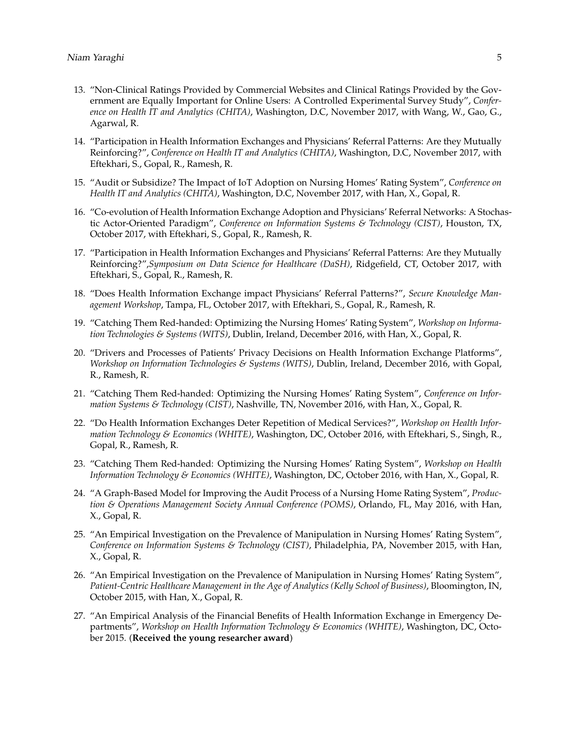- 13. "Non-Clinical Ratings Provided by Commercial Websites and Clinical Ratings Provided by the Government are Equally Important for Online Users: A Controlled Experimental Survey Study", *Conference on Health IT and Analytics (CHITA)*, Washington, D.C, November 2017, with Wang, W., Gao, G., Agarwal, R.
- 14. "Participation in Health Information Exchanges and Physicians' Referral Patterns: Are they Mutually Reinforcing?", *Conference on Health IT and Analytics (CHITA)*, Washington, D.C, November 2017, with Eftekhari, S., Gopal, R., Ramesh, R.
- 15. "Audit or Subsidize? The Impact of IoT Adoption on Nursing Homes' Rating System", *Conference on Health IT and Analytics (CHITA)*, Washington, D.C, November 2017, with Han, X., Gopal, R.
- 16. "Co-evolution of Health Information Exchange Adoption and Physicians' Referral Networks: A Stochastic Actor-Oriented Paradigm", *Conference on Information Systems & Technology (CIST)*, Houston, TX, October 2017, with Eftekhari, S., Gopal, R., Ramesh, R.
- 17. "Participation in Health Information Exchanges and Physicians' Referral Patterns: Are they Mutually Reinforcing?",*Symposium on Data Science for Healthcare (DaSH)*, Ridgefield, CT, October 2017, with Eftekhari, S., Gopal, R., Ramesh, R.
- 18. "Does Health Information Exchange impact Physicians' Referral Patterns?", *Secure Knowledge Management Workshop*, Tampa, FL, October 2017, with Eftekhari, S., Gopal, R., Ramesh, R.
- 19. "Catching Them Red-handed: Optimizing the Nursing Homes' Rating System", *Workshop on Information Technologies & Systems (WITS)*, Dublin, Ireland, December 2016, with Han, X., Gopal, R.
- 20. "Drivers and Processes of Patients' Privacy Decisions on Health Information Exchange Platforms", *Workshop on Information Technologies & Systems (WITS)*, Dublin, Ireland, December 2016, with Gopal, R., Ramesh, R.
- 21. "Catching Them Red-handed: Optimizing the Nursing Homes' Rating System", *Conference on Information Systems & Technology (CIST)*, Nashville, TN, November 2016, with Han, X., Gopal, R.
- 22. "Do Health Information Exchanges Deter Repetition of Medical Services?", *Workshop on Health Information Technology & Economics (WHITE)*, Washington, DC, October 2016, with Eftekhari, S., Singh, R., Gopal, R., Ramesh, R.
- 23. "Catching Them Red-handed: Optimizing the Nursing Homes' Rating System", *Workshop on Health Information Technology & Economics (WHITE)*, Washington, DC, October 2016, with Han, X., Gopal, R.
- 24. "A Graph-Based Model for Improving the Audit Process of a Nursing Home Rating System", *Production & Operations Management Society Annual Conference (POMS)*, Orlando, FL, May 2016, with Han, X., Gopal, R.
- 25. "An Empirical Investigation on the Prevalence of Manipulation in Nursing Homes' Rating System", *Conference on Information Systems & Technology (CIST)*, Philadelphia, PA, November 2015, with Han, X., Gopal, R.
- 26. "An Empirical Investigation on the Prevalence of Manipulation in Nursing Homes' Rating System", *Patient-Centric Healthcare Management in the Age of Analytics (Kelly School of Business)*, Bloomington, IN, October 2015, with Han, X., Gopal, R.
- 27. "An Empirical Analysis of the Financial Benefits of Health Information Exchange in Emergency Departments", *Workshop on Health Information Technology & Economics (WHITE)*, Washington, DC, October 2015. (**Received the young researcher award**)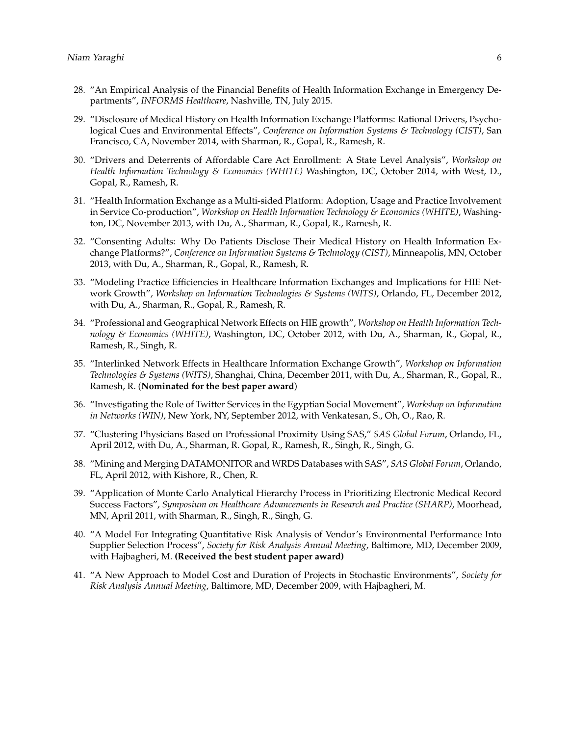- 28. "An Empirical Analysis of the Financial Benefits of Health Information Exchange in Emergency Departments", *INFORMS Healthcare*, Nashville, TN, July 2015.
- 29. "Disclosure of Medical History on Health Information Exchange Platforms: Rational Drivers, Psychological Cues and Environmental Effects", *Conference on Information Systems & Technology (CIST)*, San Francisco, CA, November 2014, with Sharman, R., Gopal, R., Ramesh, R.
- 30. "Drivers and Deterrents of Affordable Care Act Enrollment: A State Level Analysis", *Workshop on Health Information Technology & Economics (WHITE)* Washington, DC, October 2014, with West, D., Gopal, R., Ramesh, R.
- 31. "Health Information Exchange as a Multi-sided Platform: Adoption, Usage and Practice Involvement in Service Co-production", *Workshop on Health Information Technology & Economics (WHITE)*, Washington, DC, November 2013, with Du, A., Sharman, R., Gopal, R., Ramesh, R.
- 32. "Consenting Adults: Why Do Patients Disclose Their Medical History on Health Information Exchange Platforms?", *Conference on Information Systems & Technology (CIST)*, Minneapolis, MN, October 2013, with Du, A., Sharman, R., Gopal, R., Ramesh, R.
- 33. "Modeling Practice Efficiencies in Healthcare Information Exchanges and Implications for HIE Network Growth", *Workshop on Information Technologies & Systems (WITS)*, Orlando, FL, December 2012, with Du, A., Sharman, R., Gopal, R., Ramesh, R.
- 34. "Professional and Geographical Network Effects on HIE growth", *Workshop on Health Information Technology & Economics (WHITE)*, Washington, DC, October 2012, with Du, A., Sharman, R., Gopal, R., Ramesh, R., Singh, R.
- 35. "Interlinked Network Effects in Healthcare Information Exchange Growth", *Workshop on Information Technologies & Systems (WITS)*, Shanghai, China, December 2011, with Du, A., Sharman, R., Gopal, R., Ramesh, R. (**Nominated for the best paper award**)
- 36. "Investigating the Role of Twitter Services in the Egyptian Social Movement", *Workshop on Information in Networks (WIN)*, New York, NY, September 2012, with Venkatesan, S., Oh, O., Rao, R.
- 37. "Clustering Physicians Based on Professional Proximity Using SAS," *SAS Global Forum*, Orlando, FL, April 2012, with Du, A., Sharman, R. Gopal, R., Ramesh, R., Singh, R., Singh, G.
- 38. "Mining and Merging DATAMONITOR and WRDS Databases with SAS", *SAS Global Forum*, Orlando, FL, April 2012, with Kishore, R., Chen, R.
- 39. "Application of Monte Carlo Analytical Hierarchy Process in Prioritizing Electronic Medical Record Success Factors", *Symposium on Healthcare Advancements in Research and Practice (SHARP)*, Moorhead, MN, April 2011, with Sharman, R., Singh, R., Singh, G.
- 40. "A Model For Integrating Quantitative Risk Analysis of Vendor's Environmental Performance Into Supplier Selection Process", *Society for Risk Analysis Annual Meeting*, Baltimore, MD, December 2009, with Hajbagheri, M. **(Received the best student paper award)**
- 41. "A New Approach to Model Cost and Duration of Projects in Stochastic Environments", *Society for Risk Analysis Annual Meeting*, Baltimore, MD, December 2009, with Hajbagheri, M.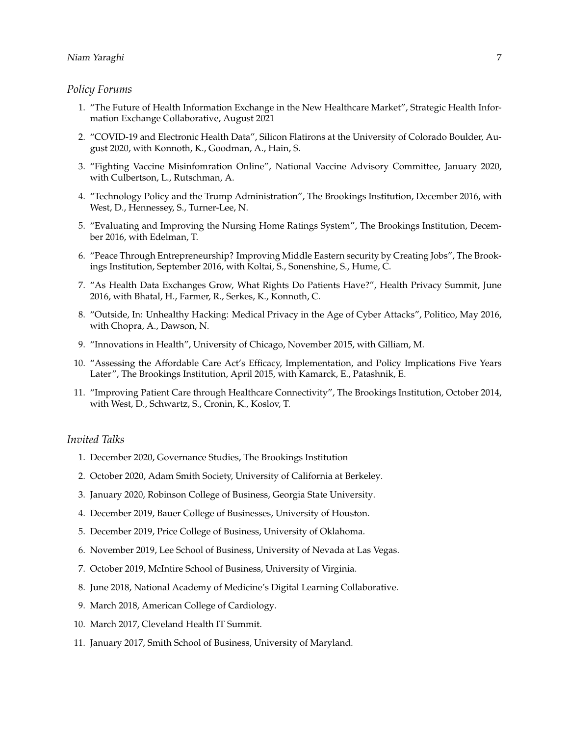## *Policy Forums*

- 1. "The Future of Health Information Exchange in the New Healthcare Market", Strategic Health Information Exchange Collaborative, August 2021
- 2. "COVID-19 and Electronic Health Data", Silicon Flatirons at the University of Colorado Boulder, August 2020, with Konnoth, K., Goodman, A., Hain, S.
- 3. "Fighting Vaccine Misinfomration Online", National Vaccine Advisory Committee, January 2020, with Culbertson, L., Rutschman, A.
- 4. "Technology Policy and the Trump Administration", The Brookings Institution, December 2016, with West, D., Hennessey, S., Turner-Lee, N.
- 5. "Evaluating and Improving the Nursing Home Ratings System", The Brookings Institution, December 2016, with Edelman, T.
- 6. "Peace Through Entrepreneurship? Improving Middle Eastern security by Creating Jobs", The Brookings Institution, September 2016, with Koltai, S., Sonenshine, S., Hume, C.
- 7. "As Health Data Exchanges Grow, What Rights Do Patients Have?", Health Privacy Summit, June 2016, with Bhatal, H., Farmer, R., Serkes, K., Konnoth, C.
- 8. "Outside, In: Unhealthy Hacking: Medical Privacy in the Age of Cyber Attacks", Politico, May 2016, with Chopra, A., Dawson, N.
- 9. "Innovations in Health", University of Chicago, November 2015, with Gilliam, M.
- 10. "Assessing the Affordable Care Act's Efficacy, Implementation, and Policy Implications Five Years Later", The Brookings Institution, April 2015, with Kamarck, E., Patashnik, E.
- 11. "Improving Patient Care through Healthcare Connectivity", The Brookings Institution, October 2014, with West, D., Schwartz, S., Cronin, K., Koslov, T.

## *Invited Talks*

- 1. December 2020, Governance Studies, The Brookings Institution
- 2. October 2020, Adam Smith Society, University of California at Berkeley.
- 3. January 2020, Robinson College of Business, Georgia State University.
- 4. December 2019, Bauer College of Businesses, University of Houston.
- 5. December 2019, Price College of Business, University of Oklahoma.
- 6. November 2019, Lee School of Business, University of Nevada at Las Vegas.
- 7. October 2019, McIntire School of Business, University of Virginia.
- 8. June 2018, National Academy of Medicine's Digital Learning Collaborative.
- 9. March 2018, American College of Cardiology.
- 10. March 2017, Cleveland Health IT Summit.
- 11. January 2017, Smith School of Business, University of Maryland.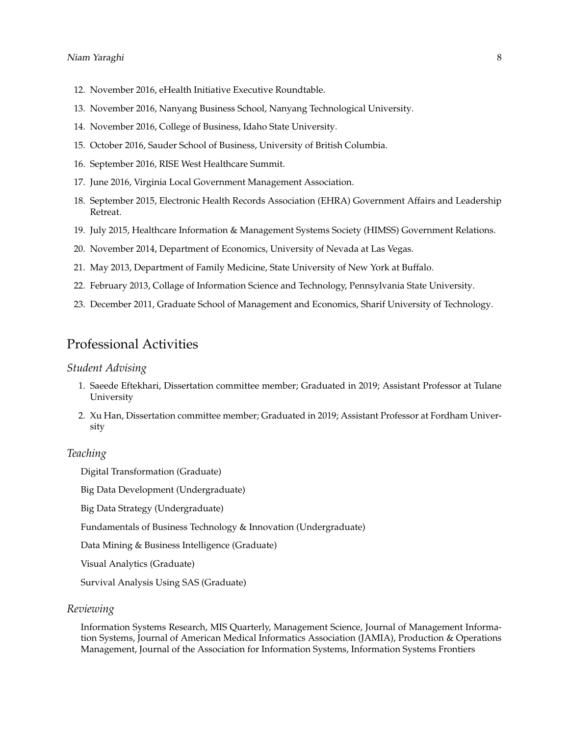- 12. November 2016, eHealth Initiative Executive Roundtable.
- 13. November 2016, Nanyang Business School, Nanyang Technological University.
- 14. November 2016, College of Business, Idaho State University.
- 15. October 2016, Sauder School of Business, University of British Columbia.
- 16. September 2016, RISE West Healthcare Summit.
- 17. June 2016, Virginia Local Government Management Association.
- 18. September 2015, Electronic Health Records Association (EHRA) Government Affairs and Leadership Retreat.
- 19. July 2015, Healthcare Information & Management Systems Society (HIMSS) Government Relations.
- 20. November 2014, Department of Economics, University of Nevada at Las Vegas.
- 21. May 2013, Department of Family Medicine, State University of New York at Buffalo.
- 22. February 2013, Collage of Information Science and Technology, Pennsylvania State University.
- 23. December 2011, Graduate School of Management and Economics, Sharif University of Technology.

# Professional Activities

## *Student Advising*

- 1. Saeede Eftekhari, Dissertation committee member; Graduated in 2019; Assistant Professor at Tulane University
- 2. Xu Han, Dissertation committee member; Graduated in 2019; Assistant Professor at Fordham University

#### *Teaching*

Digital Transformation (Graduate)

Big Data Development (Undergraduate)

Big Data Strategy (Undergraduate)

Fundamentals of Business Technology & Innovation (Undergraduate)

Data Mining & Business Intelligence (Graduate)

Visual Analytics (Graduate)

Survival Analysis Using SAS (Graduate)

## *Reviewing*

Information Systems Research, MIS Quarterly, Management Science, Journal of Management Information Systems, Journal of American Medical Informatics Association (JAMIA), Production & Operations Management, Journal of the Association for Information Systems, Information Systems Frontiers